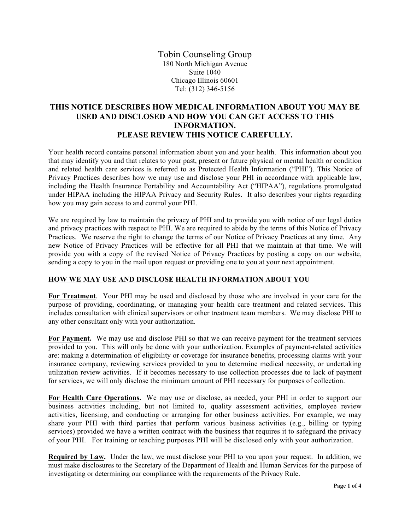Tobin Counseling Group 180 North Michigan Avenue Suite 1040 Chicago Illinois 60601 Tel: (312) 346-5156

## **THIS NOTICE DESCRIBES HOW MEDICAL INFORMATION ABOUT YOU MAY BE USED AND DISCLOSED AND HOW YOU CAN GET ACCESS TO THIS INFORMATION. PLEASE REVIEW THIS NOTICE CAREFULLY.**

Your health record contains personal information about you and your health. This information about you that may identify you and that relates to your past, present or future physical or mental health or condition and related health care services is referred to as Protected Health Information ("PHI"). This Notice of Privacy Practices describes how we may use and disclose your PHI in accordance with applicable law, including the Health Insurance Portability and Accountability Act ("HIPAA"), regulations promulgated under HIPAA including the HIPAA Privacy and Security Rules. It also describes your rights regarding how you may gain access to and control your PHI.

We are required by law to maintain the privacy of PHI and to provide you with notice of our legal duties and privacy practices with respect to PHI. We are required to abide by the terms of this Notice of Privacy Practices. We reserve the right to change the terms of our Notice of Privacy Practices at any time. Any new Notice of Privacy Practices will be effective for all PHI that we maintain at that time. We will provide you with a copy of the revised Notice of Privacy Practices by posting a copy on our website, sending a copy to you in the mail upon request or providing one to you at your next appointment.

## **HOW WE MAY USE AND DISCLOSE HEALTH INFORMATION ABOUT YOU**

**For Treatment**.Your PHI may be used and disclosed by those who are involved in your care for the purpose of providing, coordinating, or managing your health care treatment and related services. This includes consultation with clinical supervisors or other treatment team members. We may disclose PHI to any other consultant only with your authorization.

**For Payment.** We may use and disclose PHI so that we can receive payment for the treatment services provided to you. This will only be done with your authorization. Examples of payment-related activities are: making a determination of eligibility or coverage for insurance benefits, processing claims with your insurance company, reviewing services provided to you to determine medical necessity, or undertaking utilization review activities. If it becomes necessary to use collection processes due to lack of payment for services, we will only disclose the minimum amount of PHI necessary for purposes of collection.

**For Health Care Operations.** We may use or disclose, as needed, your PHI in order to support our business activities including, but not limited to, quality assessment activities, employee review activities, licensing, and conducting or arranging for other business activities. For example, we may share your PHI with third parties that perform various business activities (e.g., billing or typing services) provided we have a written contract with the business that requires it to safeguard the privacy of your PHI. For training or teaching purposes PHI will be disclosed only with your authorization.

**Required by Law.** Under the law, we must disclose your PHI to you upon your request. In addition, we must make disclosures to the Secretary of the Department of Health and Human Services for the purpose of investigating or determining our compliance with the requirements of the Privacy Rule.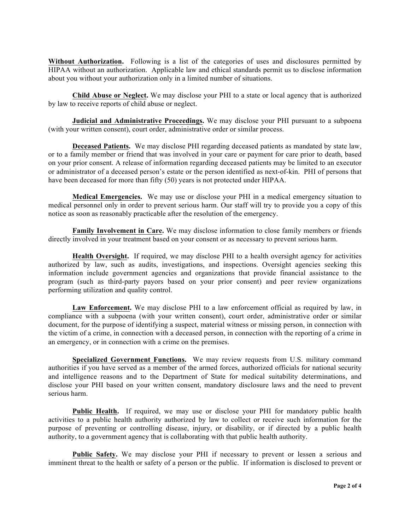**Without Authorization.** Following is a list of the categories of uses and disclosures permitted by HIPAA without an authorization. Applicable law and ethical standards permit us to disclose information about you without your authorization only in a limited number of situations.

**Child Abuse or Neglect.** We may disclose your PHI to a state or local agency that is authorized by law to receive reports of child abuse or neglect.

**Judicial and Administrative Proceedings.** We may disclose your PHI pursuant to a subpoena (with your written consent), court order, administrative order or similar process.

**Deceased Patients.** We may disclose PHI regarding deceased patients as mandated by state law, or to a family member or friend that was involved in your care or payment for care prior to death, based on your prior consent. A release of information regarding deceased patients may be limited to an executor or administrator of a deceased person's estate or the person identified as next-of-kin. PHI of persons that have been deceased for more than fifty (50) years is not protected under HIPAA.

**Medical Emergencies.** We may use or disclose your PHI in a medical emergency situation to medical personnel only in order to prevent serious harm. Our staff will try to provide you a copy of this notice as soon as reasonably practicable after the resolution of the emergency.

**Family Involvement in Care.** We may disclose information to close family members or friends directly involved in your treatment based on your consent or as necessary to prevent serious harm.

**Health Oversight.** If required, we may disclose PHI to a health oversight agency for activities authorized by law, such as audits, investigations, and inspections. Oversight agencies seeking this information include government agencies and organizations that provide financial assistance to the program (such as third-party payors based on your prior consent) and peer review organizations performing utilization and quality control.

**Law Enforcement.** We may disclose PHI to a law enforcement official as required by law, in compliance with a subpoena (with your written consent), court order, administrative order or similar document, for the purpose of identifying a suspect, material witness or missing person, in connection with the victim of a crime, in connection with a deceased person, in connection with the reporting of a crime in an emergency, or in connection with a crime on the premises.

**Specialized Government Functions.** We may review requests from U.S. military command authorities if you have served as a member of the armed forces, authorized officials for national security and intelligence reasons and to the Department of State for medical suitability determinations, and disclose your PHI based on your written consent, mandatory disclosure laws and the need to prevent serious harm.

**Public Health.** If required, we may use or disclose your PHI for mandatory public health activities to a public health authority authorized by law to collect or receive such information for the purpose of preventing or controlling disease, injury, or disability, or if directed by a public health authority, to a government agency that is collaborating with that public health authority.

**Public Safety.** We may disclose your PHI if necessary to prevent or lessen a serious and imminent threat to the health or safety of a person or the public. If information is disclosed to prevent or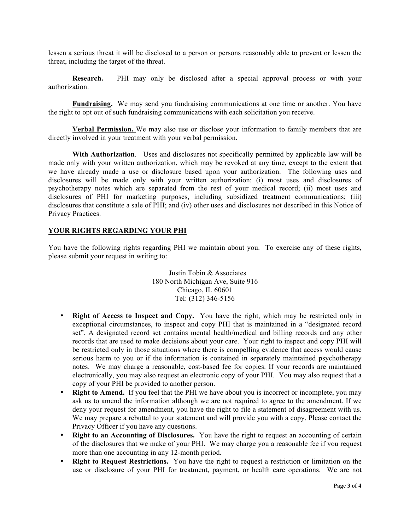lessen a serious threat it will be disclosed to a person or persons reasonably able to prevent or lessen the threat, including the target of the threat.

**Research.** PHI may only be disclosed after a special approval process or with your authorization.

**Fundraising.** We may send you fundraising communications at one time or another. You have the right to opt out of such fundraising communications with each solicitation you receive.

**Verbal Permission.** We may also use or disclose your information to family members that are directly involved in your treatment with your verbal permission.

**With Authorization**. Uses and disclosures not specifically permitted by applicable law will be made only with your written authorization, which may be revoked at any time, except to the extent that we have already made a use or disclosure based upon your authorization. The following uses and disclosures will be made only with your written authorization: (i) most uses and disclosures of psychotherapy notes which are separated from the rest of your medical record; (ii) most uses and disclosures of PHI for marketing purposes, including subsidized treatment communications; (iii) disclosures that constitute a sale of PHI; and (iv) other uses and disclosures not described in this Notice of Privacy Practices.

## **YOUR RIGHTS REGARDING YOUR PHI**

You have the following rights regarding PHI we maintain about you. To exercise any of these rights, please submit your request in writing to:

> Justin Tobin & Associates 180 North Michigan Ave, Suite 916 Chicago, IL 60601 Tel: (312) 346-5156

- **Right of Access to Inspect and Copy.** You have the right, which may be restricted only in exceptional circumstances, to inspect and copy PHI that is maintained in a "designated record set". A designated record set contains mental health/medical and billing records and any other records that are used to make decisions about your care. Your right to inspect and copy PHI will be restricted only in those situations where there is compelling evidence that access would cause serious harm to you or if the information is contained in separately maintained psychotherapy notes. We may charge a reasonable, cost-based fee for copies. If your records are maintained electronically, you may also request an electronic copy of your PHI. You may also request that a copy of your PHI be provided to another person.
- **Right to Amend.** If you feel that the PHI we have about you is incorrect or incomplete, you may ask us to amend the information although we are not required to agree to the amendment. If we deny your request for amendment, you have the right to file a statement of disagreement with us. We may prepare a rebuttal to your statement and will provide you with a copy. Please contact the Privacy Officer if you have any questions.
- **Right to an Accounting of Disclosures.** You have the right to request an accounting of certain of the disclosures that we make of your PHI. We may charge you a reasonable fee if you request more than one accounting in any 12-month period.
- **Right to Request Restrictions.** You have the right to request a restriction or limitation on the use or disclosure of your PHI for treatment, payment, or health care operations. We are not